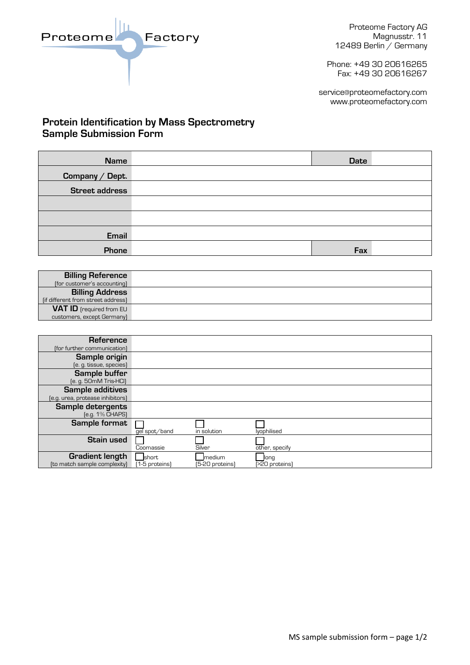Proteome

Proteome Factory AG Magnusstr. 11 12489 Berlin / Germany

Phone: +49 30 20616265 Fax: +49 30 20616267

service@proteomefactory.com www.proteomefactory.com

## **Protein Identification by Mass Spectrometry Sample Submission Form**

Factory

| <b>Name</b>           | <b>Date</b> |  |
|-----------------------|-------------|--|
| Company / Dept.       |             |  |
| <b>Street address</b> |             |  |
|                       |             |  |
|                       |             |  |
| <b>Email</b>          |             |  |
| Phone                 | Fax         |  |

| <b>Billing Reference</b>           |  |
|------------------------------------|--|
| (for customer's accounting)        |  |
| <b>Billing Address</b>             |  |
| [if different from street address] |  |
| <b>VAT ID</b> [required from EU    |  |
| customers, except Germany)         |  |

| Reference<br>(for further communication)                    |                         |                           |                        |
|-------------------------------------------------------------|-------------------------|---------------------------|------------------------|
| Sample origin<br>(e. g. tissue, species)                    |                         |                           |                        |
| Sample buffer<br>[e. g. 50mM Tris-HCI]                      |                         |                           |                        |
| <b>Sample additives</b><br>(e.g. urea, protease inhibitors) |                         |                           |                        |
| Sample detergents<br>[e.g. 1% CHAPS]                        |                         |                           |                        |
| <b>Sample format</b>                                        | gel spot/band           | in solution               | lyophilised            |
| <b>Stain used</b>                                           | Coomassie               | Silver                    | other, specify         |
| <b>Gradient length</b><br>(to match sample complexity)      | short<br>[1-5 proteins] | medium<br>[5-20 proteins] | long<br>[>20 proteins] |